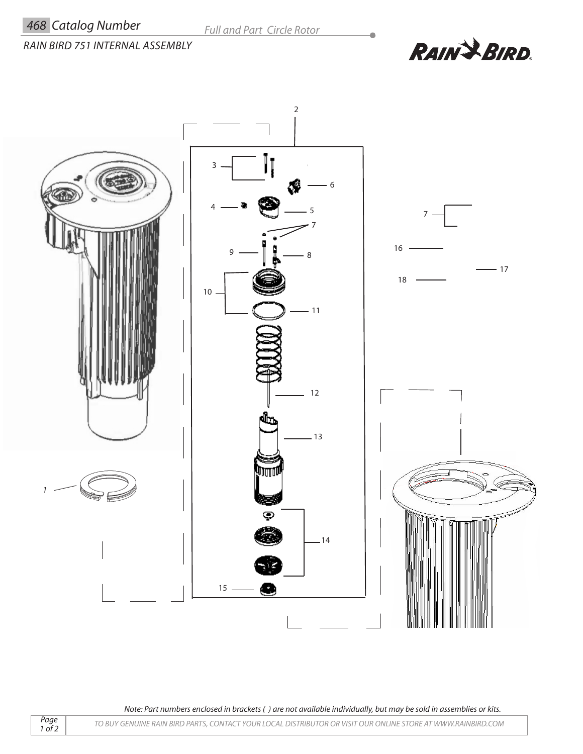## *RAIN BIRD 751 INTERNAL ASSEMBLY*

**RAIN & BIRD.** 

 $\overline{\phantom{a}}$ 



*Note: Part numbers enclosed in brackets ( ) are not available individually, but may be sold in assemblies or kits.*